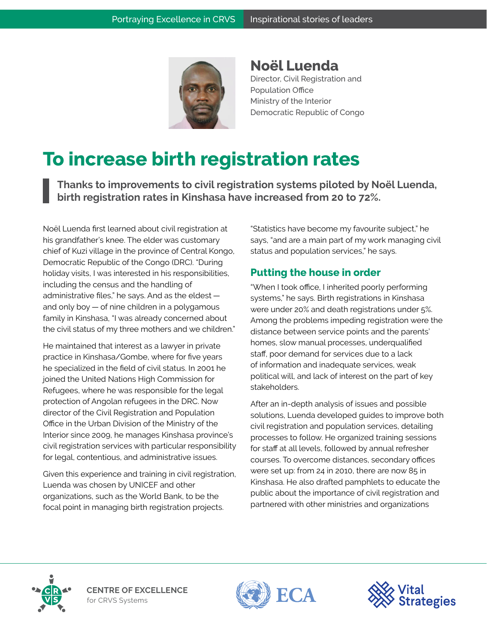

**Noël Luenda** Director, Civil Registration and Population Office Ministry of the Interior Democratic Republic of Congo

## **To increase birth registration rates**

**Thanks to improvements to civil registration systems piloted by Noël Luenda, birth registration rates in Kinshasa have increased from 20 to 72%.**

Noël Luenda first learned about civil registration at his grandfather's knee. The elder was customary chief of Kuzi village in the province of Central Kongo, Democratic Republic of the Congo (DRC). "During holiday visits, I was interested in his responsibilities, including the census and the handling of administrative files," he says. And as the eldest and only boy — of nine children in a polygamous family in Kinshasa, "I was already concerned about the civil status of my three mothers and we children."

He maintained that interest as a lawyer in private practice in Kinshasa/Gombe, where for five years he specialized in the field of civil status. In 2001 he joined the United Nations High Commission for Refugees, where he was responsible for the legal protection of Angolan refugees in the DRC. Now director of the Civil Registration and Population Office in the Urban Division of the Ministry of the Interior since 2009, he manages Kinshasa province's civil registration services with particular responsibility for legal, contentious, and administrative issues.

Given this experience and training in civil registration, Luenda was chosen by UNICEF and other organizations, such as the World Bank, to be the focal point in managing birth registration projects.

"Statistics have become my favourite subject," he says, "and are a main part of my work managing civil status and population services," he says.

## **Putting the house in order**

"When I took office, I inherited poorly performing systems," he says. Birth registrations in Kinshasa were under 20% and death registrations under 5%. Among the problems impeding registration were the distance between service points and the parents' homes, slow manual processes, underqualified staff, poor demand for services due to a lack of information and inadequate services, weak political will, and lack of interest on the part of key stakeholders.

After an in-depth analysis of issues and possible solutions, Luenda developed guides to improve both civil registration and population services, detailing processes to follow. He organized training sessions for staff at all levels, followed by annual refresher courses. To overcome distances, secondary offices were set up: from 24 in 2010, there are now 85 in Kinshasa. He also drafted pamphlets to educate the public about the importance of civil registration and partnered with other ministries and organizations